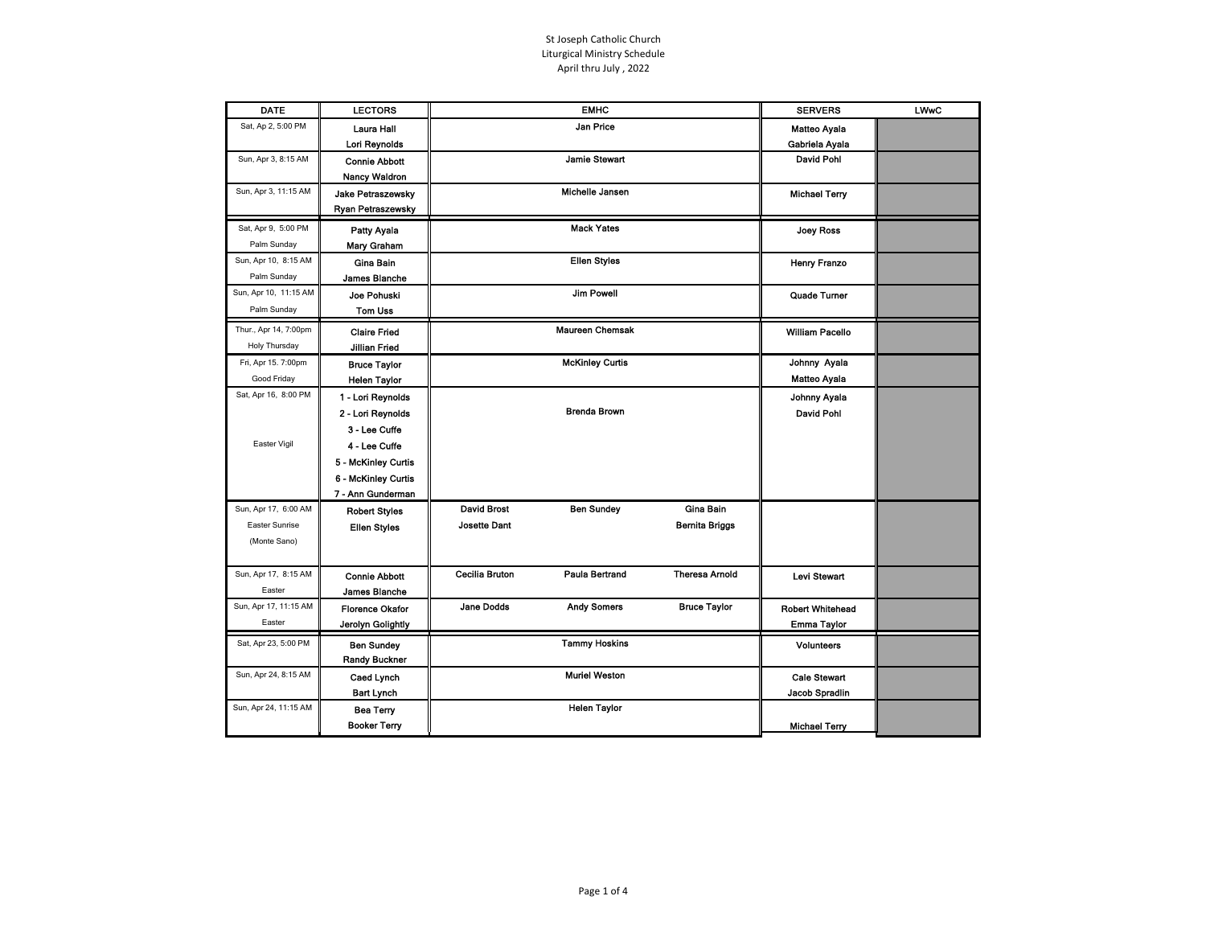| <b>DATE</b>           | <b>LECTORS</b>                          |                       | <b>EMHC</b>            |                       | <b>SERVERS</b>          | <b>LWwC</b> |
|-----------------------|-----------------------------------------|-----------------------|------------------------|-----------------------|-------------------------|-------------|
| Sat, Ap 2, 5:00 PM    | Laura Hall                              |                       | Jan Price              |                       | <b>Matteo Avala</b>     |             |
|                       | Lori Reynolds                           |                       |                        |                       | Gabriela Ayala          |             |
| Sun, Apr 3, 8:15 AM   | <b>Connie Abbott</b>                    |                       | <b>Jamie Stewart</b>   |                       | David Pohl              |             |
|                       | <b>Nancy Waldron</b>                    |                       |                        |                       |                         |             |
| Sun, Apr 3, 11:15 AM  | Jake Petraszewsky                       |                       | Michelle Jansen        |                       | <b>Michael Terry</b>    |             |
|                       | Ryan Petraszewsky                       |                       |                        |                       |                         |             |
| Sat, Apr 9, 5:00 PM   | <b>Patty Ayala</b>                      |                       | <b>Mack Yates</b>      |                       | <b>Joey Ross</b>        |             |
| Palm Sunday           | Mary Graham                             |                       |                        |                       |                         |             |
| Sun, Apr 10, 8:15 AM  | Gina Bain                               |                       | <b>Ellen Styles</b>    |                       | <b>Henry Franzo</b>     |             |
| Palm Sunday           | James Blanche                           |                       |                        |                       |                         |             |
| Sun, Apr 10, 11:15 AM | Joe Pohuski                             |                       | <b>Jim Powell</b>      |                       | Quade Turner            |             |
| Palm Sunday           | Tom Uss                                 |                       |                        |                       |                         |             |
| Thur., Apr 14, 7:00pm |                                         |                       | <b>Maureen Chemsak</b> |                       |                         |             |
|                       | <b>Claire Fried</b>                     |                       |                        |                       | <b>William Pacello</b>  |             |
| Holy Thursday         | <b>Jillian Fried</b>                    |                       |                        |                       |                         |             |
| Fri, Apr 15. 7:00pm   | <b>Bruce Taylor</b>                     |                       | <b>McKinley Curtis</b> |                       | Johnny Ayala            |             |
| Good Friday           | <b>Helen Taylor</b>                     |                       |                        |                       | <b>Matteo Ayala</b>     |             |
| Sat, Apr 16, 8:00 PM  | 1 - Lori Reynolds                       |                       |                        |                       | Johnny Ayala            |             |
|                       | 2 - Lori Reynolds                       |                       | <b>Brenda Brown</b>    |                       | David Pohl              |             |
|                       | 3 - Lee Cuffe                           |                       |                        |                       |                         |             |
| Easter Vigil          | 4 - Lee Cuffe                           |                       |                        |                       |                         |             |
|                       | 5 - McKinley Curtis                     |                       |                        |                       |                         |             |
|                       | 6 - McKinley Curtis                     |                       |                        |                       |                         |             |
|                       | 7 - Ann Gunderman                       |                       |                        |                       |                         |             |
| Sun, Apr 17, 6:00 AM  | <b>Robert Styles</b>                    | <b>David Brost</b>    | <b>Ben Sundey</b>      | Gina Bain             |                         |             |
| Easter Sunrise        | <b>Ellen Styles</b>                     | <b>Josette Dant</b>   |                        | <b>Bernita Briggs</b> |                         |             |
| (Monte Sano)          |                                         |                       |                        |                       |                         |             |
|                       |                                         |                       |                        |                       |                         |             |
| Sun, Apr 17, 8:15 AM  | <b>Connie Abbott</b>                    | <b>Cecilia Bruton</b> | Paula Bertrand         | <b>Theresa Amold</b>  | <b>Levi Stewart</b>     |             |
| Easter                | James Blanche                           |                       |                        |                       |                         |             |
| Sun, Apr 17, 11:15 AM | <b>Florence Okafor</b>                  | <b>Jane Dodds</b>     | <b>Andy Somers</b>     | <b>Bruce Taylor</b>   | <b>Robert Whitehead</b> |             |
| Easter                | Jerolyn Golightly                       |                       |                        |                       | Emma Taylor             |             |
| Sat, Apr 23, 5:00 PM  | <b>Ben Sundey</b>                       |                       | <b>Tammy Hoskins</b>   |                       | Volunteers              |             |
|                       | <b>Randy Buckner</b>                    |                       |                        |                       |                         |             |
| Sun, Apr 24, 8:15 AM  | Caed Lynch                              |                       | <b>Muriel Weston</b>   |                       | <b>Cale Stewart</b>     |             |
|                       | <b>Bart Lynch</b>                       |                       |                        |                       | Jacob Spradlin          |             |
| Sun, Apr 24, 11:15 AM |                                         |                       | <b>Helen Taylor</b>    |                       |                         |             |
|                       | <b>Bea Terry</b><br><b>Booker Terry</b> |                       |                        |                       |                         |             |
|                       |                                         |                       |                        |                       | <b>Michael Terry</b>    |             |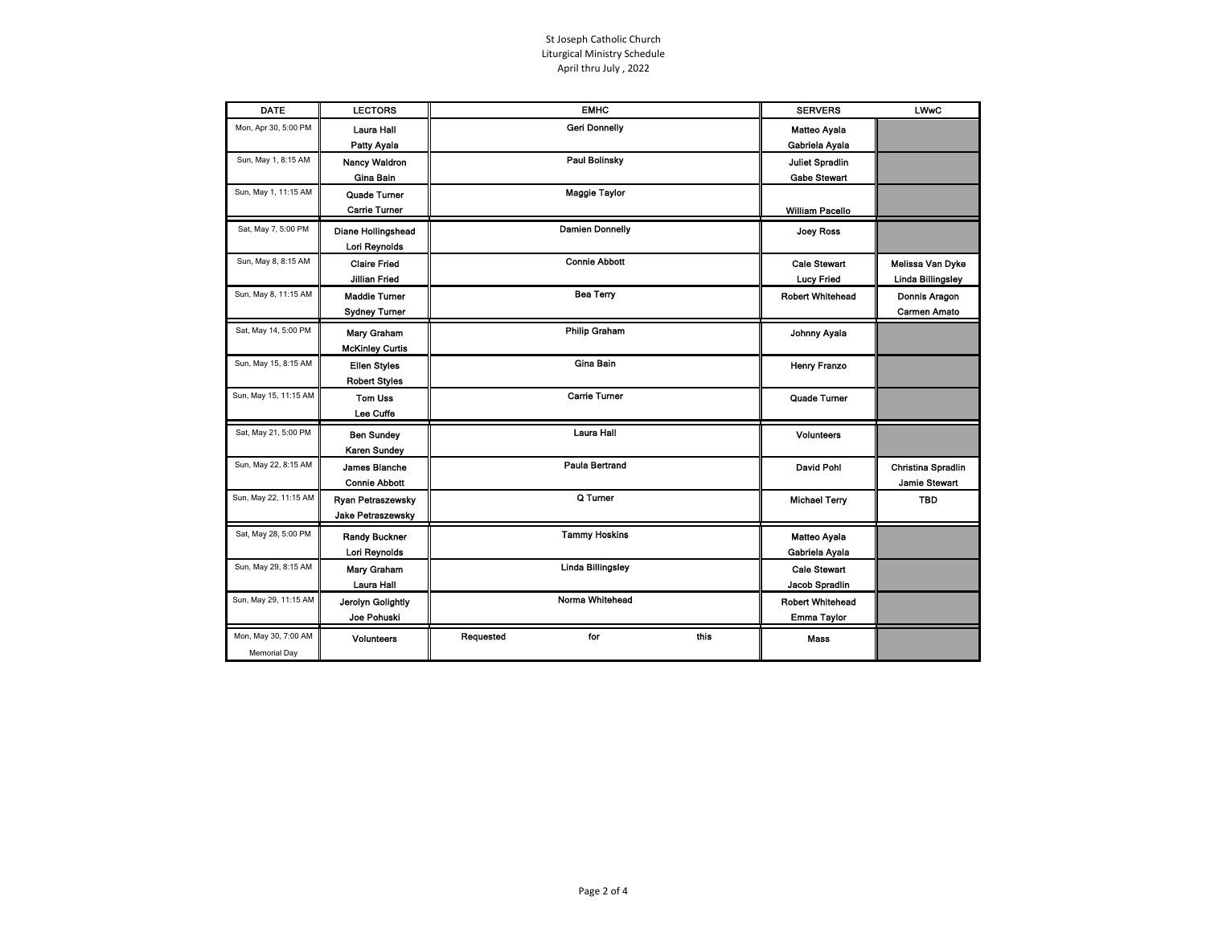| <b>DATE</b>           | <b>LECTORS</b>            | <b>EMHC</b>              | <b>SERVERS</b>          | <b>LWwC</b>              |
|-----------------------|---------------------------|--------------------------|-------------------------|--------------------------|
| Mon, Apr 30, 5:00 PM  | Laura Hall                | <b>Geri Donnelly</b>     | Matteo Ayala            |                          |
|                       | Patty Ayala               |                          | Gabriela Ayala          |                          |
| Sun, May 1, 8:15 AM   | <b>Nancy Waldron</b>      | <b>Paul Bolinsky</b>     | <b>Juliet Spradlin</b>  |                          |
|                       | Gina Bain                 |                          | <b>Gabe Stewart</b>     |                          |
| Sun, May 1, 11:15 AM  | Quade Turner              | <b>Maggie Taylor</b>     |                         |                          |
|                       | <b>Carrie Turner</b>      |                          | <b>William Pacello</b>  |                          |
| Sat, May 7, 5:00 PM   | <b>Diane Hollingshead</b> | <b>Damien Donnelly</b>   | Joey Ross               |                          |
|                       | Lori Reynolds             |                          |                         |                          |
| Sun, May 8, 8:15 AM   | <b>Claire Fried</b>       | <b>Connie Abbott</b>     | <b>Cale Stewart</b>     | Melissa Van Dyke         |
|                       | Jillian Fried             |                          | <b>Lucy Fried</b>       | <b>Linda Billingsley</b> |
| Sun, May 8, 11:15 AM  | <b>Maddie Turner</b>      | <b>Bea Terry</b>         | <b>Robert Whitehead</b> | Donnis Aragon            |
|                       | <b>Sydney Turner</b>      |                          |                         | Carmen Amato             |
| Sat, May 14, 5:00 PM  | Mary Graham               | <b>Philip Graham</b>     | Johnny Ayala            |                          |
|                       | <b>McKinley Curtis</b>    |                          |                         |                          |
| Sun, May 15, 8:15 AM  | <b>Ellen Styles</b>       | Gina Bain                | <b>Henry Franzo</b>     |                          |
|                       | <b>Robert Styles</b>      |                          |                         |                          |
| Sun, May 15, 11:15 AM | <b>Tom Uss</b>            | <b>Carrie Turner</b>     | Quade Turner            |                          |
|                       | Lee Cuffe                 |                          |                         |                          |
| Sat, May 21, 5:00 PM  | <b>Ben Sundey</b>         | Laura Hall               | <b>Volunteers</b>       |                          |
|                       | Karen Sundey              |                          |                         |                          |
| Sun, May 22, 8:15 AM  | <b>James Blanche</b>      | <b>Paula Bertrand</b>    | David Pohl              | Christina Spradlin       |
|                       | <b>Connie Abbott</b>      |                          |                         | <b>Jamie Stewart</b>     |
| Sun, May 22, 11:15 AM | Ryan Petraszewsky         | Q Turner                 | <b>Michael Terry</b>    | TBD                      |
|                       | Jake Petraszewsky         |                          |                         |                          |
| Sat, May 28, 5:00 PM  | <b>Randy Buckner</b>      | <b>Tammy Hoskins</b>     | Matteo Ayala            |                          |
|                       | Lori Reynolds             |                          | Gabriela Ayala          |                          |
| Sun, May 29, 8:15 AM  | Mary Graham               | <b>Linda Billingsley</b> | <b>Cale Stewart</b>     |                          |
|                       | Laura Hall                |                          | Jacob Spradlin          |                          |
| Sun, May 29, 11:15 AM | Jerolyn Golightly         | Norma Whitehead          | <b>Robert Whitehead</b> |                          |
|                       | Joe Pohuski               |                          | Emma Taylor             |                          |
| Mon, May 30, 7:00 AM  | <b>Volunteers</b>         | this<br>Requested<br>for | Mass                    |                          |
| <b>Memorial Day</b>   |                           |                          |                         |                          |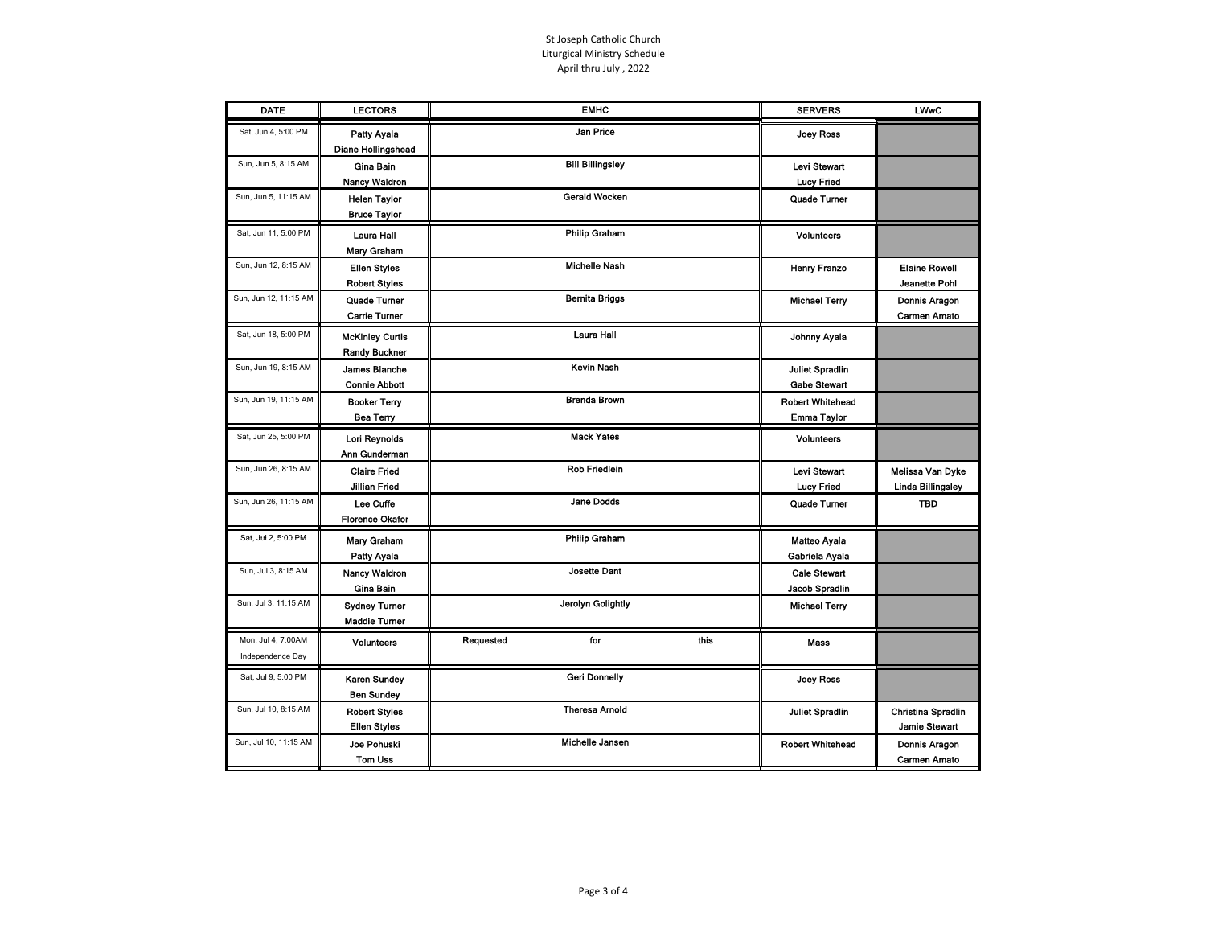| <b>DATE</b>                            | <b>LECTORS</b>                                 |           | <b>EMHC</b>             |      | <b>SERVERS</b>                                | <b>LWwC</b>                                  |
|----------------------------------------|------------------------------------------------|-----------|-------------------------|------|-----------------------------------------------|----------------------------------------------|
| Sat, Jun 4, 5:00 PM                    | <b>Patty Ayala</b><br>Diane Hollingshead       |           | Jan Price               |      | <b>Joey Ross</b>                              |                                              |
| Sun, Jun 5, 8:15 AM                    | Gina Bain<br><b>Nancy Waldron</b>              |           | <b>Bill Billingsley</b> |      | <b>Levi Stewart</b><br><b>Lucy Fried</b>      |                                              |
| Sun, Jun 5, 11:15 AM                   | <b>Helen Taylor</b><br><b>Bruce Taylor</b>     |           | <b>Gerald Wocken</b>    |      | Quade Turner                                  |                                              |
| Sat, Jun 11, 5:00 PM                   | Laura Hall<br>Mary Graham                      |           | <b>Philip Graham</b>    |      | Volunteers                                    |                                              |
| Sun, Jun 12, 8:15 AM                   | <b>Ellen Styles</b><br><b>Robert Styles</b>    |           | <b>Michelle Nash</b>    |      | Henry Franzo                                  | <b>Elaine Rowell</b><br>Jeanette Pohl        |
| Sun, Jun 12, 11:15 AM                  | Quade Turner<br>Carrie Turner                  |           | <b>Bernita Briggs</b>   |      | <b>Michael Terry</b>                          | Donnis Aragon<br><b>Carmen Amato</b>         |
| Sat, Jun 18, 5:00 PM                   | <b>McKinley Curtis</b><br><b>Randy Buckner</b> |           | Laura Hall              |      | Johnny Ayala                                  |                                              |
| Sun, Jun 19, 8:15 AM                   | James Blanche<br><b>Connie Abbott</b>          |           | <b>Kevin Nash</b>       |      | <b>Juliet Spradlin</b><br><b>Gabe Stewart</b> |                                              |
| Sun, Jun 19, 11:15 AM                  | <b>Booker Terry</b><br><b>Bea Terry</b>        |           | <b>Brenda Brown</b>     |      | <b>Robert Whitehead</b><br>Emma Taylor        |                                              |
| Sat, Jun 25, 5:00 PM                   | Lori Reynolds<br>Ann Gunderman                 |           | <b>Mack Yates</b>       |      | <b>Volunteers</b>                             |                                              |
| Sun, Jun 26, 8:15 AM                   | <b>Claire Fried</b><br><b>Jillian Fried</b>    |           | Rob Friedlein           |      | Levi Stewart<br><b>Lucy Fried</b>             | Melissa Van Dyke<br><b>Linda Billingsley</b> |
| Sun, Jun 26, 11:15 AM                  | Lee Cuffe<br><b>Florence Okafor</b>            |           | <b>Jane Dodds</b>       |      | Quade Turner                                  | <b>TBD</b>                                   |
| Sat, Jul 2, 5:00 PM                    | Mary Graham<br>Patty Ayala                     |           | <b>Philip Graham</b>    |      | Matteo Ayala<br>Gabriela Ayala                |                                              |
| Sun, Jul 3, 8:15 AM                    | <b>Nancy Waldron</b><br>Gina Bain              |           | <b>Josette Dant</b>     |      | <b>Cale Stewart</b><br>Jacob Spradlin         |                                              |
| Sun, Jul 3, 11:15 AM                   | <b>Sydney Turner</b><br><b>Maddie Turner</b>   |           | Jerolyn Golightly       |      | <b>Michael Terry</b>                          |                                              |
| Mon, Jul 4, 7:00AM<br>Independence Day | <b>Volunteers</b>                              | Requested | for                     | this | <b>Mass</b>                                   |                                              |
| Sat, Jul 9, 5:00 PM                    | <b>Karen Sundey</b><br><b>Ben Sundey</b>       |           | <b>Geri Donnelly</b>    |      | <b>Joey Ross</b>                              |                                              |
| Sun, Jul 10, 8:15 AM                   | <b>Robert Styles</b><br><b>Ellen Styles</b>    |           | <b>Theresa Arnold</b>   |      | <b>Juliet Spradlin</b>                        | Christina Spradlin<br>Jamie Stewart          |
| Sun, Jul 10, 11:15 AM                  | Joe Pohuski<br>Tom Uss                         |           | Michelle Jansen         |      | <b>Robert Whitehead</b>                       | Donnis Aragon<br><b>Carmen Amato</b>         |